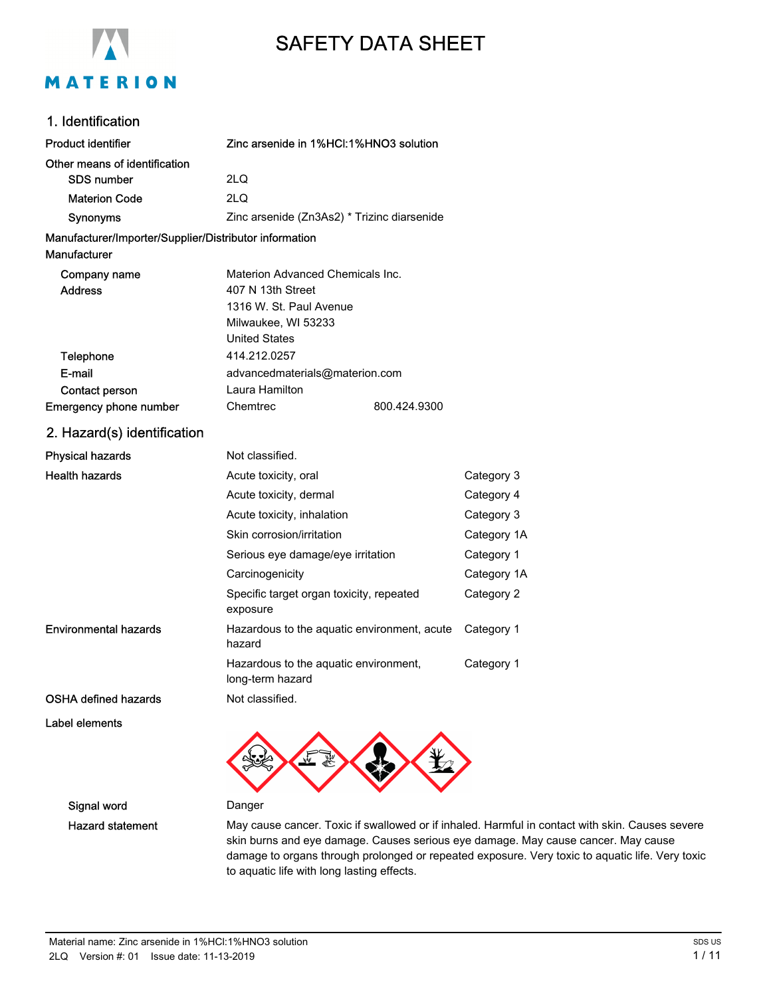

# SAFETY DATA SHEET

### 1. Identification

| <b>Product identifier</b>                                              | Zinc arsenide in 1%HCI:1%HNO3 solution                                                                  |              |             |
|------------------------------------------------------------------------|---------------------------------------------------------------------------------------------------------|--------------|-------------|
| Other means of identification                                          |                                                                                                         |              |             |
| <b>SDS number</b>                                                      | 2LQ                                                                                                     |              |             |
| <b>Materion Code</b>                                                   | 2LO                                                                                                     |              |             |
| Synonyms                                                               | Zinc arsenide (Zn3As2) * Trizinc diarsenide                                                             |              |             |
| Manufacturer/Importer/Supplier/Distributor information<br>Manufacturer |                                                                                                         |              |             |
| Company name<br><b>Address</b>                                         | Materion Advanced Chemicals Inc.<br>407 N 13th Street<br>1316 W. St. Paul Avenue<br>Milwaukee, WI 53233 |              |             |
|                                                                        | <b>United States</b><br>414.212.0257                                                                    |              |             |
| Telephone<br>E-mail<br>Contact person                                  | advancedmaterials@materion.com<br>Laura Hamilton                                                        |              |             |
| Emergency phone number                                                 | Chemtrec                                                                                                | 800.424.9300 |             |
| 2. Hazard(s) identification                                            |                                                                                                         |              |             |
| <b>Physical hazards</b>                                                | Not classified.                                                                                         |              |             |
| <b>Health hazards</b>                                                  | Acute toxicity, oral                                                                                    |              | Category 3  |
|                                                                        | Acute toxicity, dermal                                                                                  |              | Category 4  |
|                                                                        | Acute toxicity, inhalation                                                                              |              | Category 3  |
|                                                                        | Skin corrosion/irritation                                                                               |              | Category 1A |
|                                                                        | Serious eye damage/eye irritation                                                                       |              | Category 1  |
|                                                                        | Carcinogenicity                                                                                         |              | Category 1A |
|                                                                        | Specific target organ toxicity, repeated<br>exposure                                                    |              | Category 2  |
| <b>Environmental hazards</b>                                           | Hazardous to the aquatic environment, acute<br>hazard                                                   |              | Category 1  |
|                                                                        | Hazardous to the aquatic environment,<br>long-term hazard                                               |              | Category 1  |
| <b>OSHA defined hazards</b>                                            | Not classified.                                                                                         |              |             |
| Label elements                                                         |                                                                                                         |              |             |

Signal word Danger

Hazard statement May cause cancer. Toxic if swallowed or if inhaled. Harmful in contact with skin. Causes severe skin burns and eye damage. Causes serious eye damage. May cause cancer. May cause damage to organs through prolonged or repeated exposure. Very toxic to aquatic life. Very toxic to aquatic life with long lasting effects.

O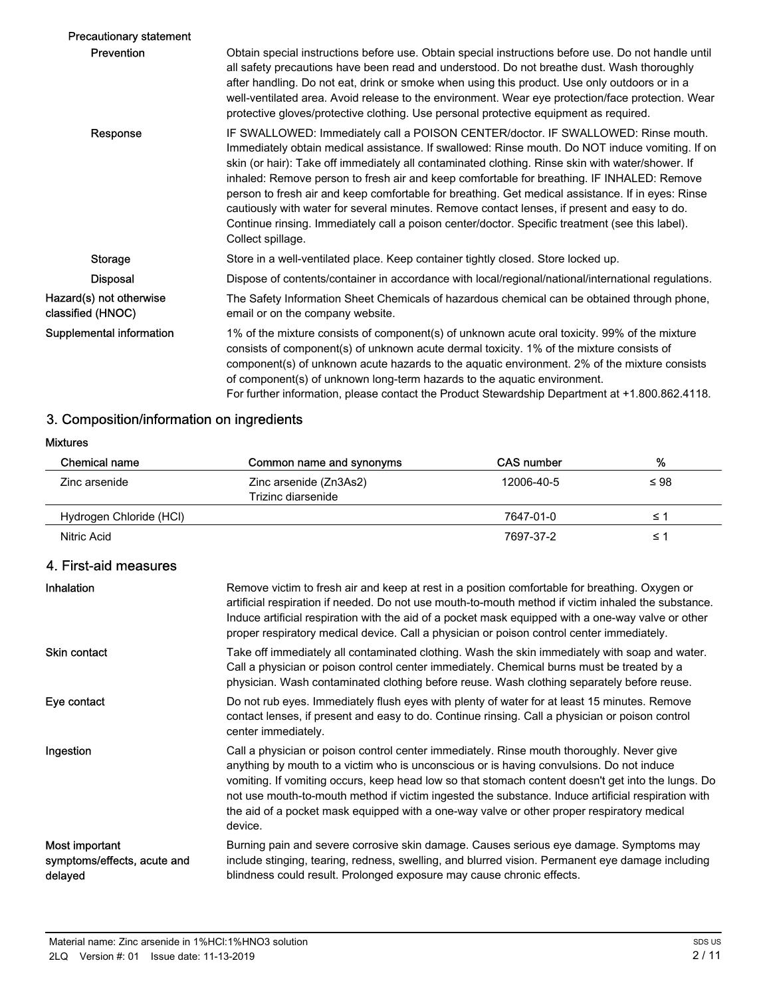| <b>Precautionary statement</b>               |                                                                                                                                                                                                                                                                                                                                                                                                                                                                                                                                                                                                                                                                                                                     |
|----------------------------------------------|---------------------------------------------------------------------------------------------------------------------------------------------------------------------------------------------------------------------------------------------------------------------------------------------------------------------------------------------------------------------------------------------------------------------------------------------------------------------------------------------------------------------------------------------------------------------------------------------------------------------------------------------------------------------------------------------------------------------|
| <b>Prevention</b>                            | Obtain special instructions before use. Obtain special instructions before use. Do not handle until<br>all safety precautions have been read and understood. Do not breathe dust. Wash thoroughly<br>after handling. Do not eat, drink or smoke when using this product. Use only outdoors or in a<br>well-ventilated area. Avoid release to the environment. Wear eye protection/face protection. Wear<br>protective gloves/protective clothing. Use personal protective equipment as required.                                                                                                                                                                                                                    |
| Response                                     | IF SWALLOWED: Immediately call a POISON CENTER/doctor. IF SWALLOWED: Rinse mouth.<br>Immediately obtain medical assistance. If swallowed: Rinse mouth. Do NOT induce vomiting. If on<br>skin (or hair): Take off immediately all contaminated clothing. Rinse skin with water/shower. If<br>inhaled: Remove person to fresh air and keep comfortable for breathing. IF INHALED: Remove<br>person to fresh air and keep comfortable for breathing. Get medical assistance. If in eyes: Rinse<br>cautiously with water for several minutes. Remove contact lenses, if present and easy to do.<br>Continue rinsing. Immediately call a poison center/doctor. Specific treatment (see this label).<br>Collect spillage. |
| Storage                                      | Store in a well-ventilated place. Keep container tightly closed. Store locked up.                                                                                                                                                                                                                                                                                                                                                                                                                                                                                                                                                                                                                                   |
| <b>Disposal</b>                              | Dispose of contents/container in accordance with local/regional/national/international regulations.                                                                                                                                                                                                                                                                                                                                                                                                                                                                                                                                                                                                                 |
| Hazard(s) not otherwise<br>classified (HNOC) | The Safety Information Sheet Chemicals of hazardous chemical can be obtained through phone,<br>email or on the company website.                                                                                                                                                                                                                                                                                                                                                                                                                                                                                                                                                                                     |
| Supplemental information                     | 1% of the mixture consists of component(s) of unknown acute oral toxicity. 99% of the mixture<br>consists of component(s) of unknown acute dermal toxicity. 1% of the mixture consists of<br>component(s) of unknown acute hazards to the aquatic environment. 2% of the mixture consists<br>of component(s) of unknown long-term hazards to the aquatic environment.<br>For further information, please contact the Product Stewardship Department at +1.800.862.4118.                                                                                                                                                                                                                                             |

## 3. Composition/information on ingredients

### Mixtures

| Chemical name           | Common name and synonyms | CAS number | %         |
|-------------------------|--------------------------|------------|-----------|
| Zinc arsenide           | Zinc arsenide (Zn3As2)   | 12006-40-5 | $\leq 98$ |
|                         | Trizinc diarsenide       |            |           |
| Hydrogen Chloride (HCI) |                          | 7647-01-0  | ≤ ∵       |
| Nitric Acid             |                          | 7697-37-2  | ≤ ˈ       |

## 4. First-aid measures

| Inhalation                                               | Remove victim to fresh air and keep at rest in a position comfortable for breathing. Oxygen or<br>artificial respiration if needed. Do not use mouth-to-mouth method if victim inhaled the substance.<br>Induce artificial respiration with the aid of a pocket mask equipped with a one-way valve or other<br>proper respiratory medical device. Call a physician or poison control center immediately.                                                                                                   |
|----------------------------------------------------------|------------------------------------------------------------------------------------------------------------------------------------------------------------------------------------------------------------------------------------------------------------------------------------------------------------------------------------------------------------------------------------------------------------------------------------------------------------------------------------------------------------|
| <b>Skin contact</b>                                      | Take off immediately all contaminated clothing. Wash the skin immediately with soap and water.<br>Call a physician or poison control center immediately. Chemical burns must be treated by a<br>physician. Wash contaminated clothing before reuse. Wash clothing separately before reuse.                                                                                                                                                                                                                 |
| Eye contact                                              | Do not rub eyes. Immediately flush eyes with plenty of water for at least 15 minutes. Remove<br>contact lenses, if present and easy to do. Continue rinsing. Call a physician or poison control<br>center immediately.                                                                                                                                                                                                                                                                                     |
| Ingestion                                                | Call a physician or poison control center immediately. Rinse mouth thoroughly. Never give<br>anything by mouth to a victim who is unconscious or is having convulsions. Do not induce<br>vomiting. If vomiting occurs, keep head low so that stomach content doesn't get into the lungs. Do<br>not use mouth-to-mouth method if victim ingested the substance. Induce artificial respiration with<br>the aid of a pocket mask equipped with a one-way valve or other proper respiratory medical<br>device. |
| Most important<br>symptoms/effects, acute and<br>delayed | Burning pain and severe corrosive skin damage. Causes serious eye damage. Symptoms may<br>include stinging, tearing, redness, swelling, and blurred vision. Permanent eye damage including<br>blindness could result. Prolonged exposure may cause chronic effects.                                                                                                                                                                                                                                        |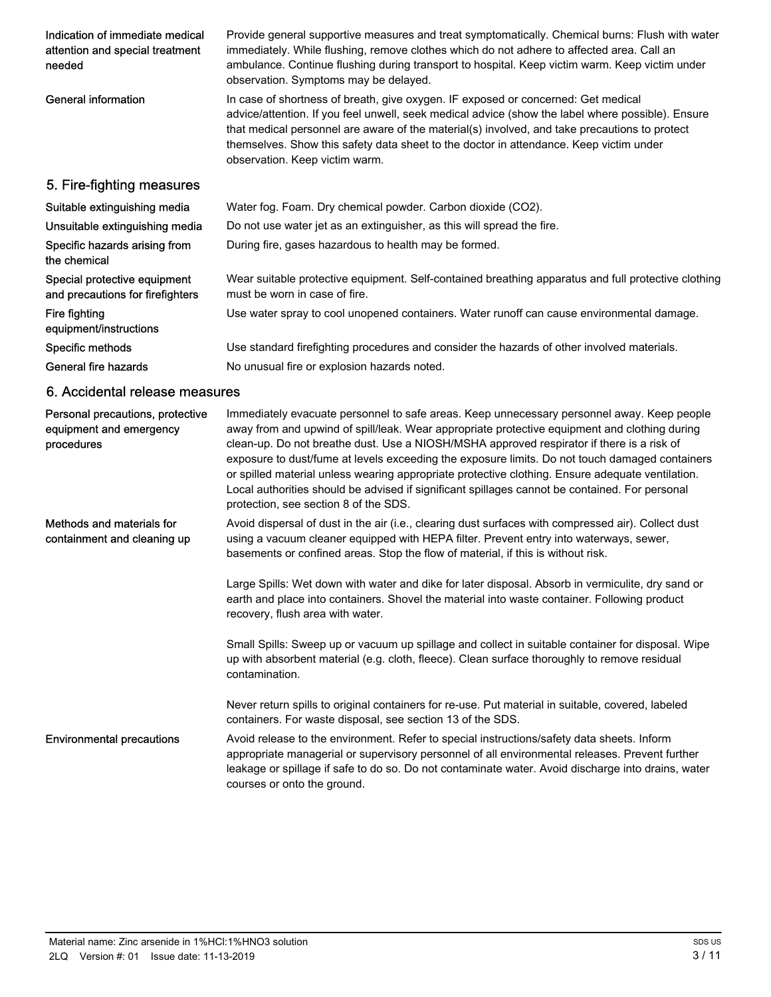| Indication of immediate medical<br>attention and special treatment<br>needed | Provide general supportive measures and treat symptomatically. Chemical burns: Flush with water<br>immediately. While flushing, remove clothes which do not adhere to affected area. Call an<br>ambulance. Continue flushing during transport to hospital. Keep victim warm. Keep victim under<br>observation. Symptoms may be delayed.                                                                                                                                                                                                                                                                                                   |
|------------------------------------------------------------------------------|-------------------------------------------------------------------------------------------------------------------------------------------------------------------------------------------------------------------------------------------------------------------------------------------------------------------------------------------------------------------------------------------------------------------------------------------------------------------------------------------------------------------------------------------------------------------------------------------------------------------------------------------|
| <b>General information</b>                                                   | In case of shortness of breath, give oxygen. IF exposed or concerned: Get medical<br>advice/attention. If you feel unwell, seek medical advice (show the label where possible). Ensure<br>that medical personnel are aware of the material(s) involved, and take precautions to protect<br>themselves. Show this safety data sheet to the doctor in attendance. Keep victim under<br>observation. Keep victim warm.                                                                                                                                                                                                                       |
| 5. Fire-fighting measures                                                    |                                                                                                                                                                                                                                                                                                                                                                                                                                                                                                                                                                                                                                           |
| Suitable extinguishing media                                                 | Water fog. Foam. Dry chemical powder. Carbon dioxide (CO2).                                                                                                                                                                                                                                                                                                                                                                                                                                                                                                                                                                               |
| Unsuitable extinguishing media                                               | Do not use water jet as an extinguisher, as this will spread the fire.                                                                                                                                                                                                                                                                                                                                                                                                                                                                                                                                                                    |
| Specific hazards arising from<br>the chemical                                | During fire, gases hazardous to health may be formed.                                                                                                                                                                                                                                                                                                                                                                                                                                                                                                                                                                                     |
| Special protective equipment<br>and precautions for firefighters             | Wear suitable protective equipment. Self-contained breathing apparatus and full protective clothing<br>must be worn in case of fire.                                                                                                                                                                                                                                                                                                                                                                                                                                                                                                      |
| <b>Fire fighting</b><br>equipment/instructions                               | Use water spray to cool unopened containers. Water runoff can cause environmental damage.                                                                                                                                                                                                                                                                                                                                                                                                                                                                                                                                                 |
| Specific methods                                                             | Use standard firefighting procedures and consider the hazards of other involved materials.                                                                                                                                                                                                                                                                                                                                                                                                                                                                                                                                                |
| General fire hazards                                                         | No unusual fire or explosion hazards noted.                                                                                                                                                                                                                                                                                                                                                                                                                                                                                                                                                                                               |
| 6. Accidental release measures                                               |                                                                                                                                                                                                                                                                                                                                                                                                                                                                                                                                                                                                                                           |
| Personal precautions, protective<br>equipment and emergency<br>procedures    | Immediately evacuate personnel to safe areas. Keep unnecessary personnel away. Keep people<br>away from and upwind of spill/leak. Wear appropriate protective equipment and clothing during<br>clean-up. Do not breathe dust. Use a NIOSH/MSHA approved respirator if there is a risk of<br>exposure to dust/fume at levels exceeding the exposure limits. Do not touch damaged containers<br>or spilled material unless wearing appropriate protective clothing. Ensure adequate ventilation.<br>Local authorities should be advised if significant spillages cannot be contained. For personal<br>protection, see section 8 of the SDS. |
| Methods and materials for<br>containment and cleaning up                     | Avoid dispersal of dust in the air (i.e., clearing dust surfaces with compressed air). Collect dust<br>using a vacuum cleaner equipped with HEPA filter. Prevent entry into waterways, sewer,<br>basements or confined areas. Stop the flow of material, if this is without risk.                                                                                                                                                                                                                                                                                                                                                         |
|                                                                              | Large Spills: Wet down with water and dike for later disposal. Absorb in vermiculite, dry sand or<br>earth and place into containers. Shovel the material into waste container. Following product<br>recovery, flush area with water.                                                                                                                                                                                                                                                                                                                                                                                                     |
|                                                                              | Small Spills: Sweep up or vacuum up spillage and collect in suitable container for disposal. Wipe<br>up with absorbent material (e.g. cloth, fleece). Clean surface thoroughly to remove residual<br>contamination.                                                                                                                                                                                                                                                                                                                                                                                                                       |
|                                                                              | Never return spills to original containers for re-use. Put material in suitable, covered, labeled<br>containers. For waste disposal, see section 13 of the SDS.                                                                                                                                                                                                                                                                                                                                                                                                                                                                           |
| <b>Environmental precautions</b>                                             | Avoid release to the environment. Refer to special instructions/safety data sheets. Inform<br>appropriate managerial or supervisory personnel of all environmental releases. Prevent further<br>leakage or spillage if safe to do so. Do not contaminate water. Avoid discharge into drains, water<br>courses or onto the ground.                                                                                                                                                                                                                                                                                                         |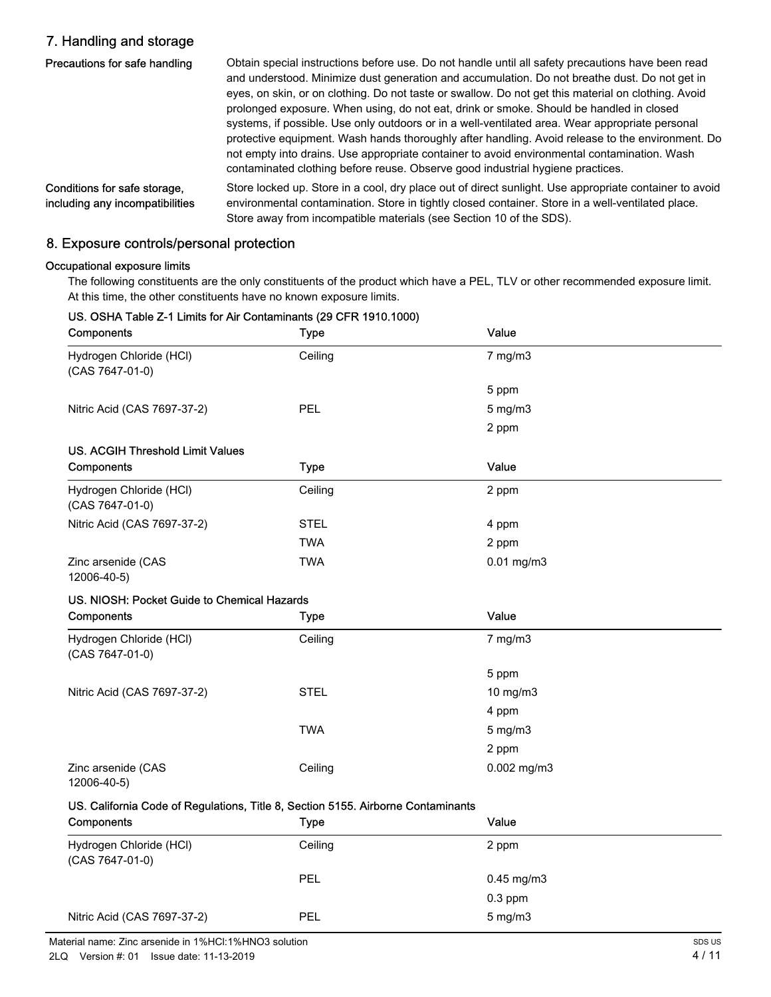## 7. Handling and storage

| Precautions for safe handling                                   | Obtain special instructions before use. Do not handle until all safety precautions have been read<br>and understood. Minimize dust generation and accumulation. Do not breathe dust. Do not get in<br>eyes, on skin, or on clothing. Do not taste or swallow. Do not get this material on clothing. Avoid<br>prolonged exposure. When using, do not eat, drink or smoke. Should be handled in closed<br>systems, if possible. Use only outdoors or in a well-ventilated area. Wear appropriate personal<br>protective equipment. Wash hands thoroughly after handling. Avoid release to the environment. Do<br>not empty into drains. Use appropriate container to avoid environmental contamination. Wash<br>contaminated clothing before reuse. Observe good industrial hygiene practices. |
|-----------------------------------------------------------------|----------------------------------------------------------------------------------------------------------------------------------------------------------------------------------------------------------------------------------------------------------------------------------------------------------------------------------------------------------------------------------------------------------------------------------------------------------------------------------------------------------------------------------------------------------------------------------------------------------------------------------------------------------------------------------------------------------------------------------------------------------------------------------------------|
| Conditions for safe storage,<br>including any incompatibilities | Store locked up. Store in a cool, dry place out of direct sunlight. Use appropriate container to avoid<br>environmental contamination. Store in tightly closed container. Store in a well-ventilated place.<br>Store away from incompatible materials (see Section 10 of the SDS).                                                                                                                                                                                                                                                                                                                                                                                                                                                                                                           |

## 8. Exposure controls/personal protection

### Occupational exposure limits

The following constituents are the only constituents of the product which have a PEL, TLV or other recommended exposure limit. At this time, the other constituents have no known exposure limits.

| Components                                                                       | <b>Type</b> | Value           |  |
|----------------------------------------------------------------------------------|-------------|-----------------|--|
| Hydrogen Chloride (HCl)<br>(CAS 7647-01-0)                                       | Ceiling     | $7$ mg/m $3$    |  |
|                                                                                  |             | 5 ppm           |  |
| Nitric Acid (CAS 7697-37-2)                                                      | PEL         | 5 mg/m3         |  |
|                                                                                  |             | 2 ppm           |  |
| <b>US. ACGIH Threshold Limit Values</b>                                          |             |                 |  |
| Components                                                                       | <b>Type</b> | Value           |  |
| Hydrogen Chloride (HCl)<br>(CAS 7647-01-0)                                       | Ceiling     | 2 ppm           |  |
| Nitric Acid (CAS 7697-37-2)                                                      | <b>STEL</b> | 4 ppm           |  |
|                                                                                  | <b>TWA</b>  | 2 ppm           |  |
| Zinc arsenide (CAS<br>12006-40-5)                                                | <b>TWA</b>  | $0.01$ mg/m $3$ |  |
| US. NIOSH: Pocket Guide to Chemical Hazards                                      |             |                 |  |
| Components                                                                       | <b>Type</b> | Value           |  |
| Hydrogen Chloride (HCl)<br>(CAS 7647-01-0)                                       | Ceiling     | $7$ mg/m $3$    |  |
|                                                                                  |             | 5 ppm           |  |
| Nitric Acid (CAS 7697-37-2)                                                      | <b>STEL</b> | 10 mg/m3        |  |
|                                                                                  |             | 4 ppm           |  |
|                                                                                  | <b>TWA</b>  | $5$ mg/m $3$    |  |
|                                                                                  |             | 2 ppm           |  |
| Zinc arsenide (CAS<br>12006-40-5)                                                | Ceiling     | 0.002 mg/m3     |  |
| US. California Code of Regulations, Title 8, Section 5155. Airborne Contaminants |             |                 |  |
| Components                                                                       | <b>Type</b> | Value           |  |

## US. OSHA Table Z-1 Limits for Air Contaminants (29 CFR 1910.1000)

| Components                                 | ı ype   | value                 |
|--------------------------------------------|---------|-----------------------|
| Hydrogen Chloride (HCl)<br>(CAS 7647-01-0) | Ceiling | 2 ppm                 |
|                                            | PEL     | $0.45 \text{ mg/m}$ 3 |
|                                            |         | $0.3$ ppm             |
| Nitric Acid (CAS 7697-37-2)                | PEL     | $5 \text{ mg/m}$ 3    |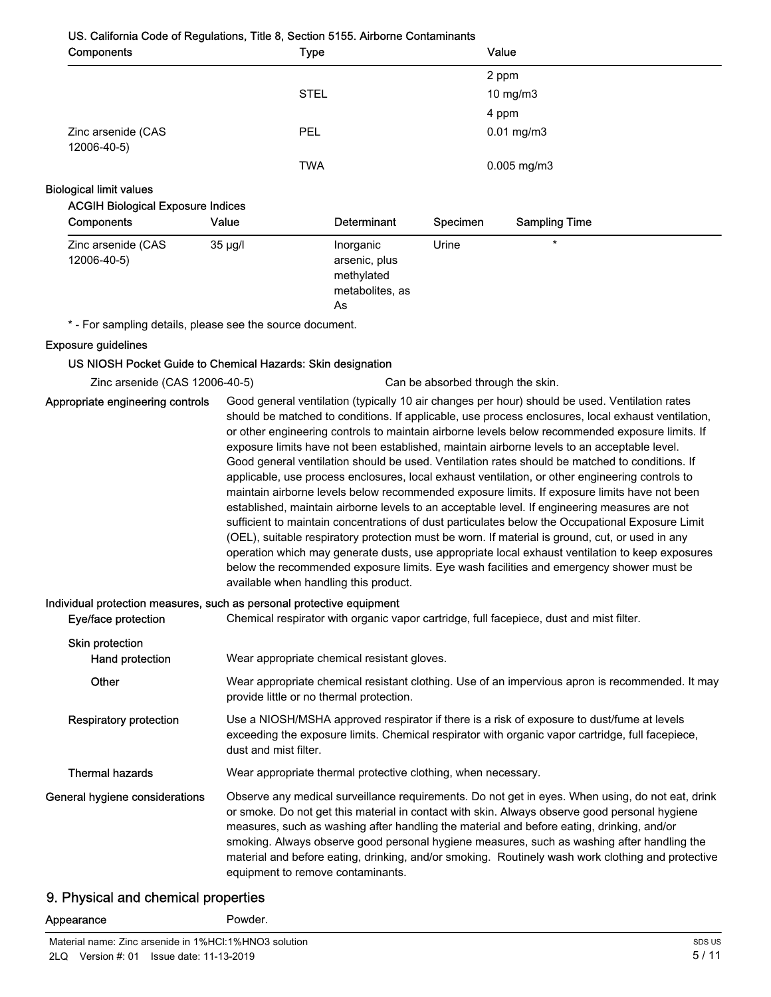#### US. California Code of Regulations, Title 8, Section 5155. Airborne Contaminants

| Components                        | Type        | Value             |  |
|-----------------------------------|-------------|-------------------|--|
|                                   |             | 2 ppm             |  |
|                                   | <b>STEL</b> | $10 \text{ mg/m}$ |  |
|                                   |             | 4 ppm             |  |
| Zinc arsenide (CAS<br>12006-40-5) | <b>PEL</b>  | $0.01$ mg/m $3$   |  |
|                                   | <b>TWA</b>  | $0.005$ mg/m $3$  |  |

#### Biological limit values

#### ACGIH Biological Exposure Indices

| Components                        | Value   | <b>Determinant</b>                                                | <b>Specimen</b> | <b>Sampling Time</b> |
|-----------------------------------|---------|-------------------------------------------------------------------|-----------------|----------------------|
| Zinc arsenide (CAS<br>12006-40-5) | 35 µg/l | Inorganic<br>arsenic, plus<br>methylated<br>metabolites, as<br>As | Urine           | $\star$              |

\* - For sampling details, please see the source document.

#### Exposure guidelines

#### US NIOSH Pocket Guide to Chemical Hazards: Skin designation

Zinc arsenide (CAS 12006-40-5) Can be absorbed through the skin.

Good general ventilation (typically 10 air changes per hour) should be used. Ventilation rates should be matched to conditions. If applicable, use process enclosures, local exhaust ventilation, or other engineering controls to maintain airborne levels below recommended exposure limits. If exposure limits have not been established, maintain airborne levels to an acceptable level. Good general ventilation should be used. Ventilation rates should be matched to conditions. If applicable, use process enclosures, local exhaust ventilation, or other engineering controls to maintain airborne levels below recommended exposure limits. If exposure limits have not been established, maintain airborne levels to an acceptable level. If engineering measures are not sufficient to maintain concentrations of dust particulates below the Occupational Exposure Limit (OEL), suitable respiratory protection must be worn. If material is ground, cut, or used in any operation which may generate dusts, use appropriate local exhaust ventilation to keep exposures below the recommended exposure limits. Eye wash facilities and emergency shower must be available when handling this product. Appropriate engineering controls

#### Individual protection measures, such as personal protective equipment

| Eye/face protection                | Chemical respirator with organic vapor cartridge, full facepiece, dust and mist filter.                                                                                                                                                                                                                                                                                                                                                                                                                                                |
|------------------------------------|----------------------------------------------------------------------------------------------------------------------------------------------------------------------------------------------------------------------------------------------------------------------------------------------------------------------------------------------------------------------------------------------------------------------------------------------------------------------------------------------------------------------------------------|
| Skin protection<br>Hand protection | Wear appropriate chemical resistant gloves.                                                                                                                                                                                                                                                                                                                                                                                                                                                                                            |
| <b>Other</b>                       | Wear appropriate chemical resistant clothing. Use of an impervious apron is recommended. It may<br>provide little or no thermal protection.                                                                                                                                                                                                                                                                                                                                                                                            |
| <b>Respiratory protection</b>      | Use a NIOSH/MSHA approved respirator if there is a risk of exposure to dust/fume at levels<br>exceeding the exposure limits. Chemical respirator with organic vapor cartridge, full facepiece,<br>dust and mist filter.                                                                                                                                                                                                                                                                                                                |
| <b>Thermal hazards</b>             | Wear appropriate thermal protective clothing, when necessary.                                                                                                                                                                                                                                                                                                                                                                                                                                                                          |
| General hygiene considerations     | Observe any medical surveillance requirements. Do not get in eyes. When using, do not eat, drink<br>or smoke. Do not get this material in contact with skin. Always observe good personal hygiene<br>measures, such as washing after handling the material and before eating, drinking, and/or<br>smoking. Always observe good personal hygiene measures, such as washing after handling the<br>material and before eating, drinking, and/or smoking. Routinely wash work clothing and protective<br>equipment to remove contaminants. |

#### 9. Physical and chemical properties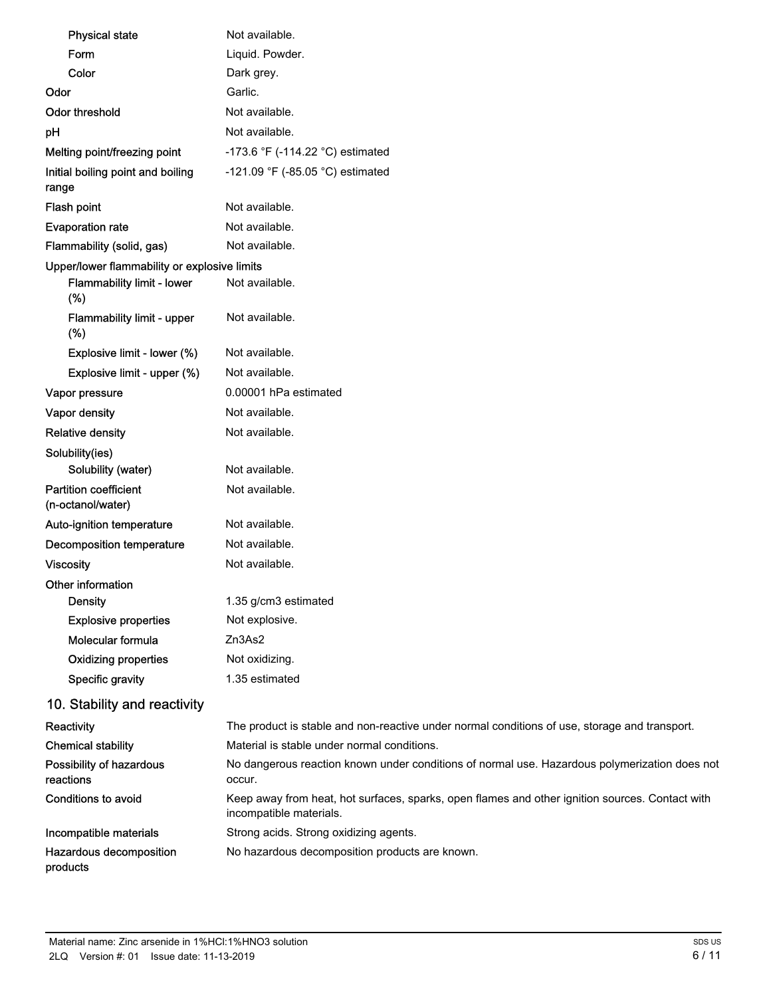| <b>Physical state</b>                             | Not available.                                                                                                             |
|---------------------------------------------------|----------------------------------------------------------------------------------------------------------------------------|
| Form                                              | Liquid. Powder.                                                                                                            |
| Color                                             | Dark grey.                                                                                                                 |
| Odor                                              | Garlic.                                                                                                                    |
| <b>Odor threshold</b>                             | Not available.                                                                                                             |
| pH                                                | Not available.                                                                                                             |
| Melting point/freezing point                      | -173.6 °F (-114.22 °C) estimated                                                                                           |
| Initial boiling point and boiling<br>range        | -121.09 °F (-85.05 °C) estimated                                                                                           |
| Flash point                                       | Not available.                                                                                                             |
| <b>Evaporation rate</b>                           | Not available.                                                                                                             |
| Flammability (solid, gas)                         | Not available.                                                                                                             |
| Upper/lower flammability or explosive limits      |                                                                                                                            |
| Flammability limit - lower<br>(%)                 | Not available.                                                                                                             |
| Flammability limit - upper<br>(%)                 | Not available.                                                                                                             |
| Explosive limit - lower (%)                       | Not available.                                                                                                             |
| Explosive limit - upper (%)                       | Not available.                                                                                                             |
| Vapor pressure                                    | 0.00001 hPa estimated                                                                                                      |
| Vapor density                                     | Not available.                                                                                                             |
| <b>Relative density</b>                           | Not available.                                                                                                             |
| Solubility(ies)<br>Solubility (water)             | Not available.                                                                                                             |
| <b>Partition coefficient</b><br>(n-octanol/water) | Not available.                                                                                                             |
| Auto-ignition temperature                         | Not available.                                                                                                             |
| Decomposition temperature                         | Not available.                                                                                                             |
| <b>Viscosity</b>                                  | Not available.                                                                                                             |
| Other information                                 |                                                                                                                            |
| <b>Density</b>                                    | 1.35 g/cm3 estimated                                                                                                       |
| <b>Explosive properties</b>                       | Not explosive.                                                                                                             |
| Molecular formula                                 | Zn3As2                                                                                                                     |
| <b>Oxidizing properties</b>                       | Not oxidizing.                                                                                                             |
| Specific gravity                                  | 1.35 estimated                                                                                                             |
| 10. Stability and reactivity                      |                                                                                                                            |
| Reactivity                                        | The product is stable and non-reactive under normal conditions of use, storage and transport.                              |
| <b>Chemical stability</b>                         | Material is stable under normal conditions.                                                                                |
| Possibility of hazardous<br>reactions             | No dangerous reaction known under conditions of normal use. Hazardous polymerization does not<br>occur.                    |
| <b>Conditions to avoid</b>                        | Keep away from heat, hot surfaces, sparks, open flames and other ignition sources. Contact with<br>incompatible materials. |
| Incompatible materials                            | Strong acids. Strong oxidizing agents.                                                                                     |
| Hazardous decomposition<br>products               | No hazardous decomposition products are known.                                                                             |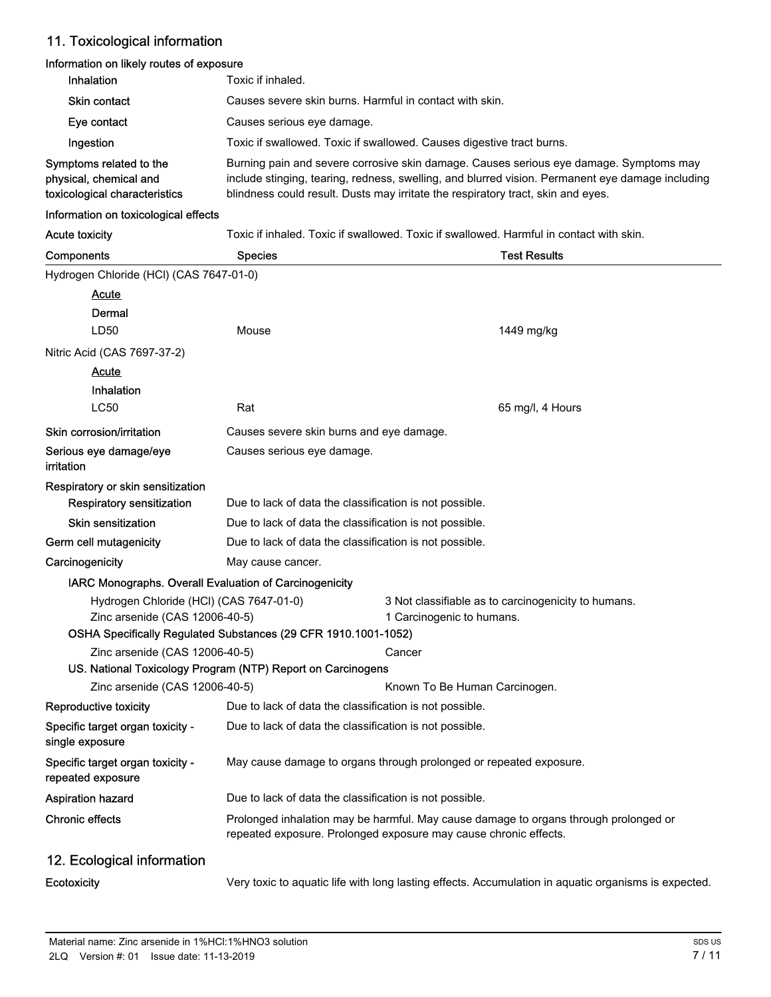## 11. Toxicological information

## Information on likely routes of exposure

| <b>Inhalation</b>                                                                  | Toxic if inhaled.                                                                                                                                                                                                                                                              |  |  |
|------------------------------------------------------------------------------------|--------------------------------------------------------------------------------------------------------------------------------------------------------------------------------------------------------------------------------------------------------------------------------|--|--|
| <b>Skin contact</b>                                                                | Causes severe skin burns. Harmful in contact with skin.                                                                                                                                                                                                                        |  |  |
| Eye contact                                                                        | Causes serious eye damage.                                                                                                                                                                                                                                                     |  |  |
| Ingestion                                                                          | Toxic if swallowed. Toxic if swallowed. Causes digestive tract burns.                                                                                                                                                                                                          |  |  |
| Symptoms related to the<br>physical, chemical and<br>toxicological characteristics | Burning pain and severe corrosive skin damage. Causes serious eye damage. Symptoms may<br>include stinging, tearing, redness, swelling, and blurred vision. Permanent eye damage including<br>blindness could result. Dusts may irritate the respiratory tract, skin and eyes. |  |  |

#### Information on toxicological effects

Acute toxicity Toxic if inhaled. Toxic if swallowed. Toxic if swallowed. Harmful in contact with skin.

| Components                                                                | <b>Species</b>                                                                                                                                           | <b>Test Results</b>                                                                                  |  |  |
|---------------------------------------------------------------------------|----------------------------------------------------------------------------------------------------------------------------------------------------------|------------------------------------------------------------------------------------------------------|--|--|
| Hydrogen Chloride (HCl) (CAS 7647-01-0)                                   |                                                                                                                                                          |                                                                                                      |  |  |
| Acute                                                                     |                                                                                                                                                          |                                                                                                      |  |  |
| Dermal                                                                    |                                                                                                                                                          |                                                                                                      |  |  |
| LD50                                                                      | Mouse                                                                                                                                                    | 1449 mg/kg                                                                                           |  |  |
| Nitric Acid (CAS 7697-37-2)                                               |                                                                                                                                                          |                                                                                                      |  |  |
| <u>Acute</u>                                                              |                                                                                                                                                          |                                                                                                      |  |  |
| Inhalation                                                                |                                                                                                                                                          |                                                                                                      |  |  |
| <b>LC50</b>                                                               | Rat                                                                                                                                                      | 65 mg/l, 4 Hours                                                                                     |  |  |
| Skin corrosion/irritation                                                 | Causes severe skin burns and eye damage.                                                                                                                 |                                                                                                      |  |  |
| Serious eye damage/eye<br>irritation                                      | Causes serious eye damage.                                                                                                                               |                                                                                                      |  |  |
| Respiratory or skin sensitization                                         |                                                                                                                                                          |                                                                                                      |  |  |
| Respiratory sensitization                                                 | Due to lack of data the classification is not possible.                                                                                                  |                                                                                                      |  |  |
| <b>Skin sensitization</b>                                                 | Due to lack of data the classification is not possible.                                                                                                  |                                                                                                      |  |  |
| Germ cell mutagenicity                                                    | Due to lack of data the classification is not possible.                                                                                                  |                                                                                                      |  |  |
| Carcinogenicity                                                           | May cause cancer.                                                                                                                                        |                                                                                                      |  |  |
| IARC Monographs. Overall Evaluation of Carcinogenicity                    |                                                                                                                                                          |                                                                                                      |  |  |
| Hydrogen Chloride (HCl) (CAS 7647-01-0)<br>Zinc arsenide (CAS 12006-40-5) |                                                                                                                                                          | 3 Not classifiable as to carcinogenicity to humans.<br>1 Carcinogenic to humans.                     |  |  |
|                                                                           | OSHA Specifically Regulated Substances (29 CFR 1910.1001-1052)                                                                                           |                                                                                                      |  |  |
| Zinc arsenide (CAS 12006-40-5)                                            |                                                                                                                                                          | Cancer                                                                                               |  |  |
|                                                                           | US. National Toxicology Program (NTP) Report on Carcinogens                                                                                              |                                                                                                      |  |  |
| Zinc arsenide (CAS 12006-40-5)                                            | Known To Be Human Carcinogen.                                                                                                                            |                                                                                                      |  |  |
| Reproductive toxicity                                                     | Due to lack of data the classification is not possible.                                                                                                  |                                                                                                      |  |  |
| Specific target organ toxicity -<br>single exposure                       | Due to lack of data the classification is not possible.                                                                                                  |                                                                                                      |  |  |
| Specific target organ toxicity -<br>repeated exposure                     | May cause damage to organs through prolonged or repeated exposure.                                                                                       |                                                                                                      |  |  |
| Aspiration hazard                                                         | Due to lack of data the classification is not possible.                                                                                                  |                                                                                                      |  |  |
| <b>Chronic effects</b>                                                    | Prolonged inhalation may be harmful. May cause damage to organs through prolonged or<br>repeated exposure. Prolonged exposure may cause chronic effects. |                                                                                                      |  |  |
| 12. Ecological information                                                |                                                                                                                                                          |                                                                                                      |  |  |
| Ecotoxicity                                                               |                                                                                                                                                          | Very toxic to aquatic life with long lasting effects. Accumulation in aquatic organisms is expected. |  |  |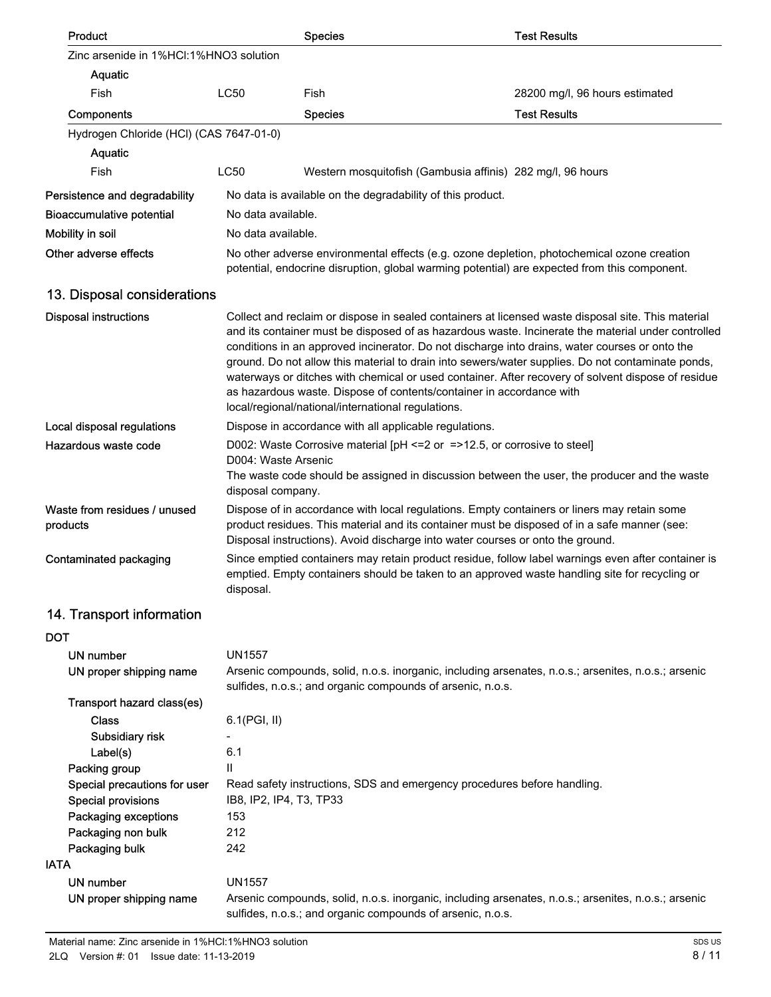| Product                                  |                                                                                                                                                                                                                  | <b>Species</b>                                                                                                             | <b>Test Results</b>                                                                                                                                                                                                                                                                                                                                                                                                                                                                                                   |  |
|------------------------------------------|------------------------------------------------------------------------------------------------------------------------------------------------------------------------------------------------------------------|----------------------------------------------------------------------------------------------------------------------------|-----------------------------------------------------------------------------------------------------------------------------------------------------------------------------------------------------------------------------------------------------------------------------------------------------------------------------------------------------------------------------------------------------------------------------------------------------------------------------------------------------------------------|--|
| Zinc arsenide in 1%HCI:1%HNO3 solution   |                                                                                                                                                                                                                  |                                                                                                                            |                                                                                                                                                                                                                                                                                                                                                                                                                                                                                                                       |  |
| Aquatic                                  |                                                                                                                                                                                                                  |                                                                                                                            |                                                                                                                                                                                                                                                                                                                                                                                                                                                                                                                       |  |
| Fish                                     | <b>LC50</b>                                                                                                                                                                                                      | Fish                                                                                                                       | 28200 mg/l, 96 hours estimated                                                                                                                                                                                                                                                                                                                                                                                                                                                                                        |  |
| Components                               |                                                                                                                                                                                                                  | <b>Species</b>                                                                                                             | <b>Test Results</b>                                                                                                                                                                                                                                                                                                                                                                                                                                                                                                   |  |
| Hydrogen Chloride (HCl) (CAS 7647-01-0)  |                                                                                                                                                                                                                  |                                                                                                                            |                                                                                                                                                                                                                                                                                                                                                                                                                                                                                                                       |  |
| Aquatic                                  |                                                                                                                                                                                                                  |                                                                                                                            |                                                                                                                                                                                                                                                                                                                                                                                                                                                                                                                       |  |
| Fish                                     | <b>LC50</b>                                                                                                                                                                                                      |                                                                                                                            | Western mosquitofish (Gambusia affinis) 282 mg/l, 96 hours                                                                                                                                                                                                                                                                                                                                                                                                                                                            |  |
| Persistence and degradability            |                                                                                                                                                                                                                  | No data is available on the degradability of this product.                                                                 |                                                                                                                                                                                                                                                                                                                                                                                                                                                                                                                       |  |
| <b>Bioaccumulative potential</b>         | No data available.                                                                                                                                                                                               |                                                                                                                            |                                                                                                                                                                                                                                                                                                                                                                                                                                                                                                                       |  |
| Mobility in soil                         | No data available.                                                                                                                                                                                               |                                                                                                                            |                                                                                                                                                                                                                                                                                                                                                                                                                                                                                                                       |  |
| Other adverse effects                    |                                                                                                                                                                                                                  |                                                                                                                            |                                                                                                                                                                                                                                                                                                                                                                                                                                                                                                                       |  |
|                                          | No other adverse environmental effects (e.g. ozone depletion, photochemical ozone creation<br>potential, endocrine disruption, global warming potential) are expected from this component.                       |                                                                                                                            |                                                                                                                                                                                                                                                                                                                                                                                                                                                                                                                       |  |
| 13. Disposal considerations              |                                                                                                                                                                                                                  |                                                                                                                            |                                                                                                                                                                                                                                                                                                                                                                                                                                                                                                                       |  |
| <b>Disposal instructions</b>             |                                                                                                                                                                                                                  | as hazardous waste. Dispose of contents/container in accordance with<br>local/regional/national/international regulations. | Collect and reclaim or dispose in sealed containers at licensed waste disposal site. This material<br>and its container must be disposed of as hazardous waste. Incinerate the material under controlled<br>conditions in an approved incinerator. Do not discharge into drains, water courses or onto the<br>ground. Do not allow this material to drain into sewers/water supplies. Do not contaminate ponds,<br>waterways or ditches with chemical or used container. After recovery of solvent dispose of residue |  |
| Local disposal regulations               |                                                                                                                                                                                                                  | Dispose in accordance with all applicable regulations.                                                                     |                                                                                                                                                                                                                                                                                                                                                                                                                                                                                                                       |  |
| Hazardous waste code                     | D004: Waste Arsenic<br>disposal company.                                                                                                                                                                         |                                                                                                                            | D002: Waste Corrosive material [pH <= 2 or = > 12.5, or corrosive to steel]<br>The waste code should be assigned in discussion between the user, the producer and the waste                                                                                                                                                                                                                                                                                                                                           |  |
| Waste from residues / unused<br>products |                                                                                                                                                                                                                  |                                                                                                                            | Dispose of in accordance with local regulations. Empty containers or liners may retain some<br>product residues. This material and its container must be disposed of in a safe manner (see:<br>Disposal instructions). Avoid discharge into water courses or onto the ground.                                                                                                                                                                                                                                         |  |
| Contaminated packaging                   | Since emptied containers may retain product residue, follow label warnings even after container is<br>emptied. Empty containers should be taken to an approved waste handling site for recycling or<br>disposal. |                                                                                                                            |                                                                                                                                                                                                                                                                                                                                                                                                                                                                                                                       |  |
| 14. Transport information                |                                                                                                                                                                                                                  |                                                                                                                            |                                                                                                                                                                                                                                                                                                                                                                                                                                                                                                                       |  |
| DOT                                      |                                                                                                                                                                                                                  |                                                                                                                            |                                                                                                                                                                                                                                                                                                                                                                                                                                                                                                                       |  |
| <b>UN number</b>                         | <b>UN1557</b>                                                                                                                                                                                                    |                                                                                                                            |                                                                                                                                                                                                                                                                                                                                                                                                                                                                                                                       |  |
| UN proper shipping name                  |                                                                                                                                                                                                                  | sulfides, n.o.s.; and organic compounds of arsenic, n.o.s.                                                                 | Arsenic compounds, solid, n.o.s. inorganic, including arsenates, n.o.s.; arsenites, n.o.s.; arsenic                                                                                                                                                                                                                                                                                                                                                                                                                   |  |
| Transport hazard class(es)               |                                                                                                                                                                                                                  |                                                                                                                            |                                                                                                                                                                                                                                                                                                                                                                                                                                                                                                                       |  |
| <b>Class</b>                             | 6.1(PGI, II)                                                                                                                                                                                                     |                                                                                                                            |                                                                                                                                                                                                                                                                                                                                                                                                                                                                                                                       |  |
| Subsidiary risk                          |                                                                                                                                                                                                                  |                                                                                                                            |                                                                                                                                                                                                                                                                                                                                                                                                                                                                                                                       |  |
| Label(s)                                 | 6.1                                                                                                                                                                                                              |                                                                                                                            |                                                                                                                                                                                                                                                                                                                                                                                                                                                                                                                       |  |
| Packing group                            | $\mathbf{I}$                                                                                                                                                                                                     |                                                                                                                            |                                                                                                                                                                                                                                                                                                                                                                                                                                                                                                                       |  |
| Special precautions for user             |                                                                                                                                                                                                                  |                                                                                                                            | Read safety instructions, SDS and emergency procedures before handling.                                                                                                                                                                                                                                                                                                                                                                                                                                               |  |
| <b>Special provisions</b>                | IB8, IP2, IP4, T3, TP33                                                                                                                                                                                          |                                                                                                                            |                                                                                                                                                                                                                                                                                                                                                                                                                                                                                                                       |  |
| Packaging exceptions                     | 153                                                                                                                                                                                                              |                                                                                                                            |                                                                                                                                                                                                                                                                                                                                                                                                                                                                                                                       |  |
| Packaging non bulk                       | 212                                                                                                                                                                                                              |                                                                                                                            |                                                                                                                                                                                                                                                                                                                                                                                                                                                                                                                       |  |
| Packaging bulk                           | 242                                                                                                                                                                                                              |                                                                                                                            |                                                                                                                                                                                                                                                                                                                                                                                                                                                                                                                       |  |
| IATA                                     |                                                                                                                                                                                                                  |                                                                                                                            |                                                                                                                                                                                                                                                                                                                                                                                                                                                                                                                       |  |
| UN number                                | <b>UN1557</b>                                                                                                                                                                                                    |                                                                                                                            |                                                                                                                                                                                                                                                                                                                                                                                                                                                                                                                       |  |
| UN proper shipping name                  |                                                                                                                                                                                                                  | sulfides, n.o.s.; and organic compounds of arsenic, n.o.s.                                                                 | Arsenic compounds, solid, n.o.s. inorganic, including arsenates, n.o.s.; arsenites, n.o.s.; arsenic                                                                                                                                                                                                                                                                                                                                                                                                                   |  |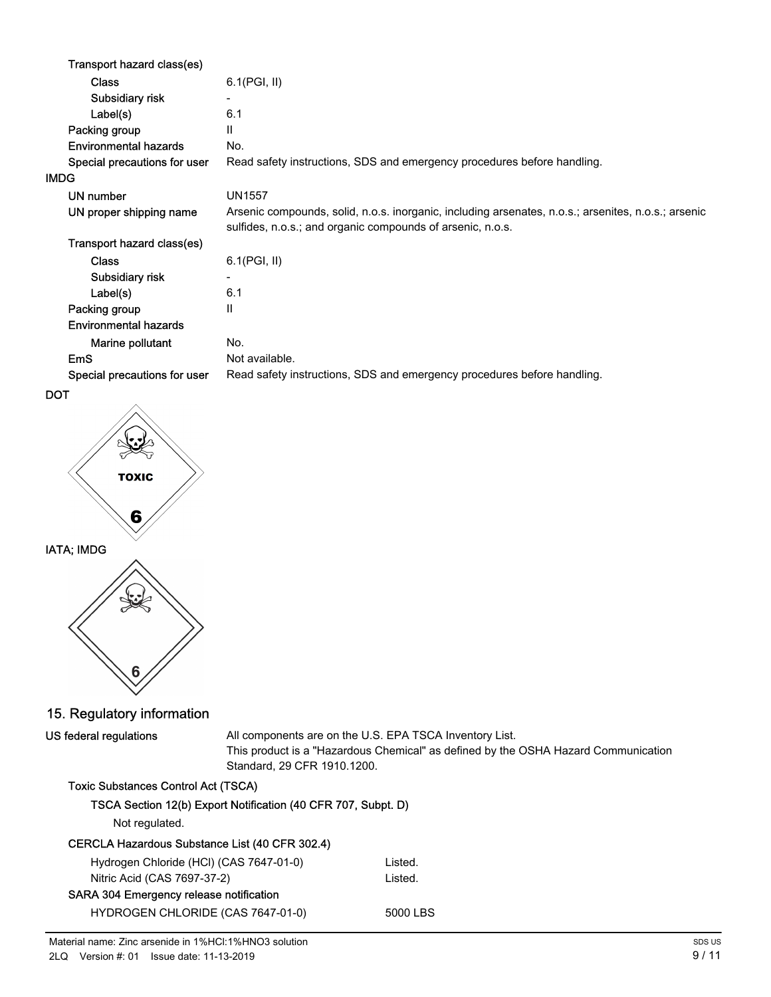| Transport hazard class(es)   |                                                                                                                                                                   |
|------------------------------|-------------------------------------------------------------------------------------------------------------------------------------------------------------------|
| <b>Class</b>                 | 6.1(PGI, II)                                                                                                                                                      |
| Subsidiary risk              |                                                                                                                                                                   |
| Label(s)                     | 6.1                                                                                                                                                               |
| Packing group                | $\mathbf{H}$                                                                                                                                                      |
| <b>Environmental hazards</b> | No.                                                                                                                                                               |
| Special precautions for user | Read safety instructions, SDS and emergency procedures before handling.                                                                                           |
| <b>IMDG</b>                  |                                                                                                                                                                   |
| UN number                    | <b>UN1557</b>                                                                                                                                                     |
| UN proper shipping name      | Arsenic compounds, solid, n.o.s. inorganic, including arsenates, n.o.s.; arsenites, n.o.s.; arsenic<br>sulfides, n.o.s.; and organic compounds of arsenic, n.o.s. |
| Transport hazard class(es)   |                                                                                                                                                                   |
| <b>Class</b>                 | 6.1(PGI, II)                                                                                                                                                      |
| Subsidiary risk              | $\overline{\phantom{a}}$                                                                                                                                          |
| Label(s)                     | 6.1                                                                                                                                                               |
| Packing group                | Ш                                                                                                                                                                 |
| <b>Environmental hazards</b> |                                                                                                                                                                   |
| Marine pollutant             | No.                                                                                                                                                               |
| <b>EmS</b>                   | Not available.                                                                                                                                                    |
| Special precautions for user | Read safety instructions, SDS and emergency procedures before handling.                                                                                           |

```
DOT
```


## 15. Regulatory information

US federal regulations

All components are on the U.S. EPA TSCA Inventory List. This product is a "Hazardous Chemical" as defined by the OSHA Hazard Communication Standard, 29 CFR 1910.1200.

## Toxic Substances Control Act (TSCA)

|  | TSCA Section 12(b) Export Notification (40 CFR 707, Subpt. D) |
|--|---------------------------------------------------------------|
|  |                                                               |

Not regulated.

### CERCLA Hazardous Substance List (40 CFR 302.4)

| Hydrogen Chloride (HCl) (CAS 7647-01-0) | Listed.  |
|-----------------------------------------|----------|
| Nitric Acid (CAS 7697-37-2)             | Listed.  |
| SARA 304 Emergency release notification |          |
| HYDROGEN CHLORIDE (CAS 7647-01-0)       | 5000 LBS |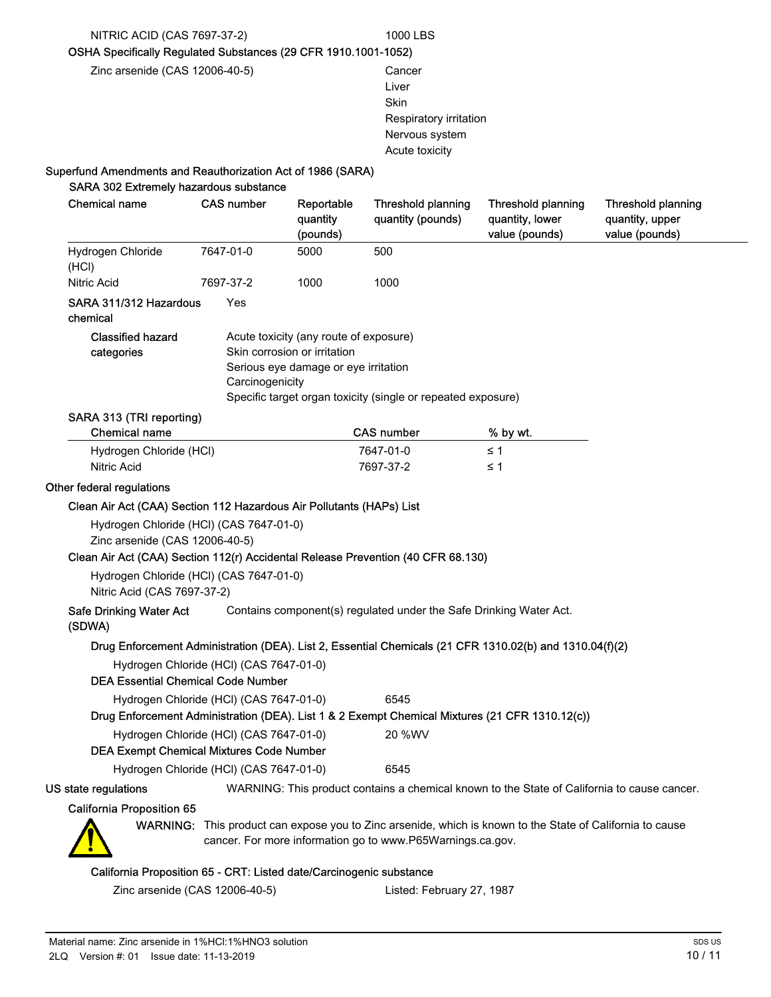#### NITRIC ACID (CAS 7697-37-2) 1000 LBS

OSHA Specifically Regulated Substances (29 CFR 1910.1001-1052)

Zinc arsenide (CAS 12006-40-5) Cancer

Liver Skin Respiratory irritation Nervous system Acute toxicity

### Superfund Amendments and Reauthorization Act of 1986 (SARA)

| Hydrogen Chloride<br>(HCI)<br>Nitric Acid<br>SARA 311/312 Hazardous<br>chemical<br><b>Classified hazard</b><br>categories<br>SARA 313 (TRI reporting)<br><b>Chemical name</b><br>Hydrogen Chloride (HCl)<br><b>Nitric Acid</b><br>Other federal regulations<br>Clean Air Act (CAA) Section 112 Hazardous Air Pollutants (HAPs) List<br>Hydrogen Chloride (HCl) (CAS 7647-01-0)<br>Zinc arsenide (CAS 12006-40-5)<br>Clean Air Act (CAA) Section 112(r) Accidental Release Prevention (40 CFR 68.130)<br>Hydrogen Chloride (HCl) (CAS 7647-01-0)<br>Nitric Acid (CAS 7697-37-2)<br><b>Safe Drinking Water Act</b><br>(SDWA)<br>Drug Enforcement Administration (DEA). List 2, Essential Chemicals (21 CFR 1310.02(b) and 1310.04(f)(2)<br>Hydrogen Chloride (HCl) (CAS 7647-01-0)<br><b>DEA Essential Chemical Code Number</b> | 7647-01-0<br>7697-37-2<br>Yes<br>Carcinogenicity | 5000<br>1000<br>Acute toxicity (any route of exposure)<br>Skin corrosion or irritation<br>Serious eye damage or eye irritation | 500<br>1000<br>Specific target organ toxicity (single or repeated exposure)<br><b>CAS number</b><br>7647-01-0<br>7697-37-2 | % by wt.<br>$\leq 1$<br>≤ 1                                                                               |  |
|-------------------------------------------------------------------------------------------------------------------------------------------------------------------------------------------------------------------------------------------------------------------------------------------------------------------------------------------------------------------------------------------------------------------------------------------------------------------------------------------------------------------------------------------------------------------------------------------------------------------------------------------------------------------------------------------------------------------------------------------------------------------------------------------------------------------------------|--------------------------------------------------|--------------------------------------------------------------------------------------------------------------------------------|----------------------------------------------------------------------------------------------------------------------------|-----------------------------------------------------------------------------------------------------------|--|
|                                                                                                                                                                                                                                                                                                                                                                                                                                                                                                                                                                                                                                                                                                                                                                                                                               |                                                  |                                                                                                                                |                                                                                                                            |                                                                                                           |  |
|                                                                                                                                                                                                                                                                                                                                                                                                                                                                                                                                                                                                                                                                                                                                                                                                                               |                                                  |                                                                                                                                |                                                                                                                            |                                                                                                           |  |
|                                                                                                                                                                                                                                                                                                                                                                                                                                                                                                                                                                                                                                                                                                                                                                                                                               |                                                  |                                                                                                                                |                                                                                                                            |                                                                                                           |  |
|                                                                                                                                                                                                                                                                                                                                                                                                                                                                                                                                                                                                                                                                                                                                                                                                                               |                                                  |                                                                                                                                |                                                                                                                            |                                                                                                           |  |
|                                                                                                                                                                                                                                                                                                                                                                                                                                                                                                                                                                                                                                                                                                                                                                                                                               |                                                  |                                                                                                                                |                                                                                                                            |                                                                                                           |  |
|                                                                                                                                                                                                                                                                                                                                                                                                                                                                                                                                                                                                                                                                                                                                                                                                                               |                                                  |                                                                                                                                |                                                                                                                            |                                                                                                           |  |
|                                                                                                                                                                                                                                                                                                                                                                                                                                                                                                                                                                                                                                                                                                                                                                                                                               |                                                  |                                                                                                                                |                                                                                                                            |                                                                                                           |  |
|                                                                                                                                                                                                                                                                                                                                                                                                                                                                                                                                                                                                                                                                                                                                                                                                                               |                                                  |                                                                                                                                |                                                                                                                            |                                                                                                           |  |
|                                                                                                                                                                                                                                                                                                                                                                                                                                                                                                                                                                                                                                                                                                                                                                                                                               |                                                  |                                                                                                                                |                                                                                                                            |                                                                                                           |  |
|                                                                                                                                                                                                                                                                                                                                                                                                                                                                                                                                                                                                                                                                                                                                                                                                                               |                                                  |                                                                                                                                | Contains component(s) regulated under the Safe Drinking Water Act.                                                         |                                                                                                           |  |
|                                                                                                                                                                                                                                                                                                                                                                                                                                                                                                                                                                                                                                                                                                                                                                                                                               |                                                  |                                                                                                                                |                                                                                                                            |                                                                                                           |  |
|                                                                                                                                                                                                                                                                                                                                                                                                                                                                                                                                                                                                                                                                                                                                                                                                                               |                                                  |                                                                                                                                |                                                                                                                            |                                                                                                           |  |
| Hydrogen Chloride (HCI) (CAS 7647-01-0)                                                                                                                                                                                                                                                                                                                                                                                                                                                                                                                                                                                                                                                                                                                                                                                       |                                                  |                                                                                                                                | 6545                                                                                                                       |                                                                                                           |  |
| Drug Enforcement Administration (DEA). List 1 & 2 Exempt Chemical Mixtures (21 CFR 1310.12(c))                                                                                                                                                                                                                                                                                                                                                                                                                                                                                                                                                                                                                                                                                                                                |                                                  |                                                                                                                                |                                                                                                                            |                                                                                                           |  |
| Hydrogen Chloride (HCl) (CAS 7647-01-0)                                                                                                                                                                                                                                                                                                                                                                                                                                                                                                                                                                                                                                                                                                                                                                                       |                                                  |                                                                                                                                | 20 %WV                                                                                                                     |                                                                                                           |  |
| <b>DEA Exempt Chemical Mixtures Code Number</b>                                                                                                                                                                                                                                                                                                                                                                                                                                                                                                                                                                                                                                                                                                                                                                               |                                                  |                                                                                                                                |                                                                                                                            |                                                                                                           |  |
| Hydrogen Chloride (HCl) (CAS 7647-01-0)                                                                                                                                                                                                                                                                                                                                                                                                                                                                                                                                                                                                                                                                                                                                                                                       |                                                  |                                                                                                                                | 6545                                                                                                                       |                                                                                                           |  |
| US state regulations                                                                                                                                                                                                                                                                                                                                                                                                                                                                                                                                                                                                                                                                                                                                                                                                          |                                                  |                                                                                                                                |                                                                                                                            | WARNING: This product contains a chemical known to the State of California to cause cancer.               |  |
| <b>California Proposition 65</b>                                                                                                                                                                                                                                                                                                                                                                                                                                                                                                                                                                                                                                                                                                                                                                                              |                                                  |                                                                                                                                |                                                                                                                            |                                                                                                           |  |
|                                                                                                                                                                                                                                                                                                                                                                                                                                                                                                                                                                                                                                                                                                                                                                                                                               |                                                  |                                                                                                                                | cancer. For more information go to www.P65Warnings.ca.gov.                                                                 | WARNING: This product can expose you to Zinc arsenide, which is known to the State of California to cause |  |

#### alifornia Proposition 65 - CRT: Listed date/Carcinogenic substance

Zinc arsenide (CAS 12006-40-5) Listed: February 27, 1987